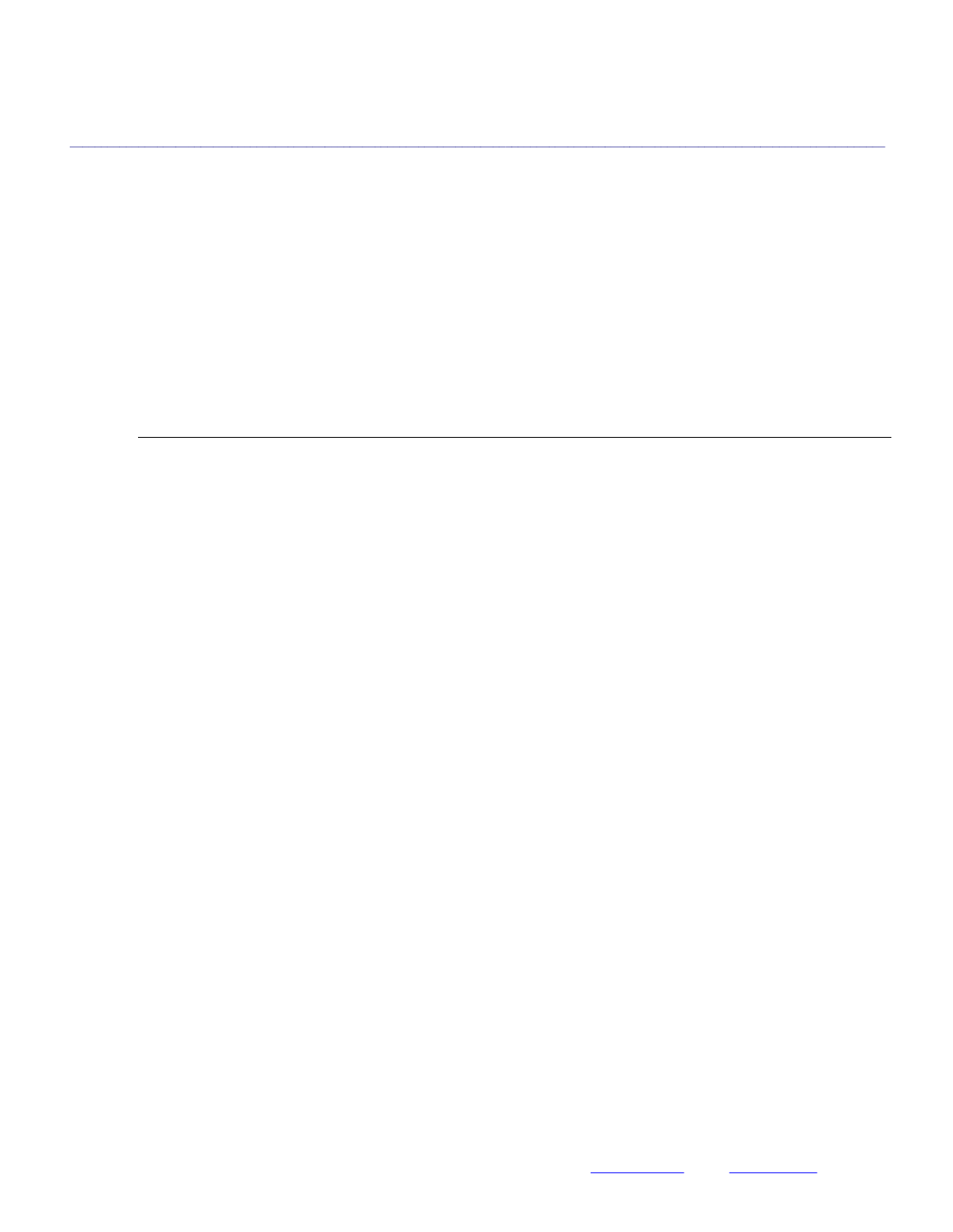# $$1*/2$  3+,  $/$ , 33, 1 ( + 2 $/$ ', 1  $*$  6 & 2532 \$1,1)5\$6758&785(\$1'3523(57<'(9(/230(17&2

BBBBBBBBBBBBBBBBBBBBBBBBBBBBBBBBBBBBBBBBBBBBBBBBBBBBBBBBBBBBBBBBBBBBBBBBBBBBBBBBBBBBBBBBBBBBBBBBBBBBBBBBBBBBBBBBBBBBBBBBBBBBBBBBBBB

‰Œ]oìôUîìîí

 $\wedge$   $\mu$  (E  $\int$   $\mathsf{P}$  is  $\left\{ \mathsf{P}$  is  $\mathsf{P}$  if  $\mathsf{E}$  is  $\mathsf{P}$  if  $\mathsf{E}$  is  $\mathsf{P}$  if  $\mathsf{P}$  if  $\mathsf{P}$  if  $\mathsf{P}$  if  $\mathsf{P}$  if  $\mathsf{P}$  if  $\mathsf{P}$  if  $\mathsf{P}$  if  $\mathsf{P}$  if  $\mathsf{P}$  if  $\mathsf{P$ ššvW DFKHO (VWKHU - \*XPWDQJ 5HPDODQWH K((] CEr]vr Z OEP U }OE‰}OE š '}À OEv v ~̃&]vv ‰ OEšuvš ^ CE š CE]š µ]o ]vPU W/ }u‰o Æ Z}Æ • }µo À Œ U D šŒ} D v]o WZ]o]‰‰]v •

>-]•-v'všouvW

/v }u‰o] v Á]šZ šZ oš Œvš]À (]o]vP }( Œ ‰}Œš• v I}Œ } µ  $\wedge$   $\mu$  OE ]  $\dot{\text{S}}$  |  $\bullet$  v  $\bar{z}$  = Z v P }uu]••]}v šZ OE } $\mu$  P Z } OE ‰} OE š '} $\lambda$  OE v v ]••µ }v:µv îðU îìîì ]vo]PZš}(šZ ]u‰}•]š]}v}(-oo }uÁuµv0JEšÇ `  $\bullet$ µu]šš]vP šZ }u‰ vÇ[• Œ ‰}Œš }v šZ d}‰ íiì ^š} lZ}o Œ• ]v ^  $\mu$ Œ]šÇ ~>]•š }(WWCEš]]‰ vš•• • }(DCE Z ïíU îìîíX

dZ-vlÇ}µX

s ΂ šŒµoÇ Ç}µŒ•U 

 $\sqrt{CE}$ ]• D $CE$ ] hX  $CE$ ‰]}r $\mu \left( \mu \right)$ }Œ‰}ŒŠ^ŒŠŒÇl}u‰o]v K((]Œl }Œ‰}Œ-š/v(}Œu-š]}vK((]Œ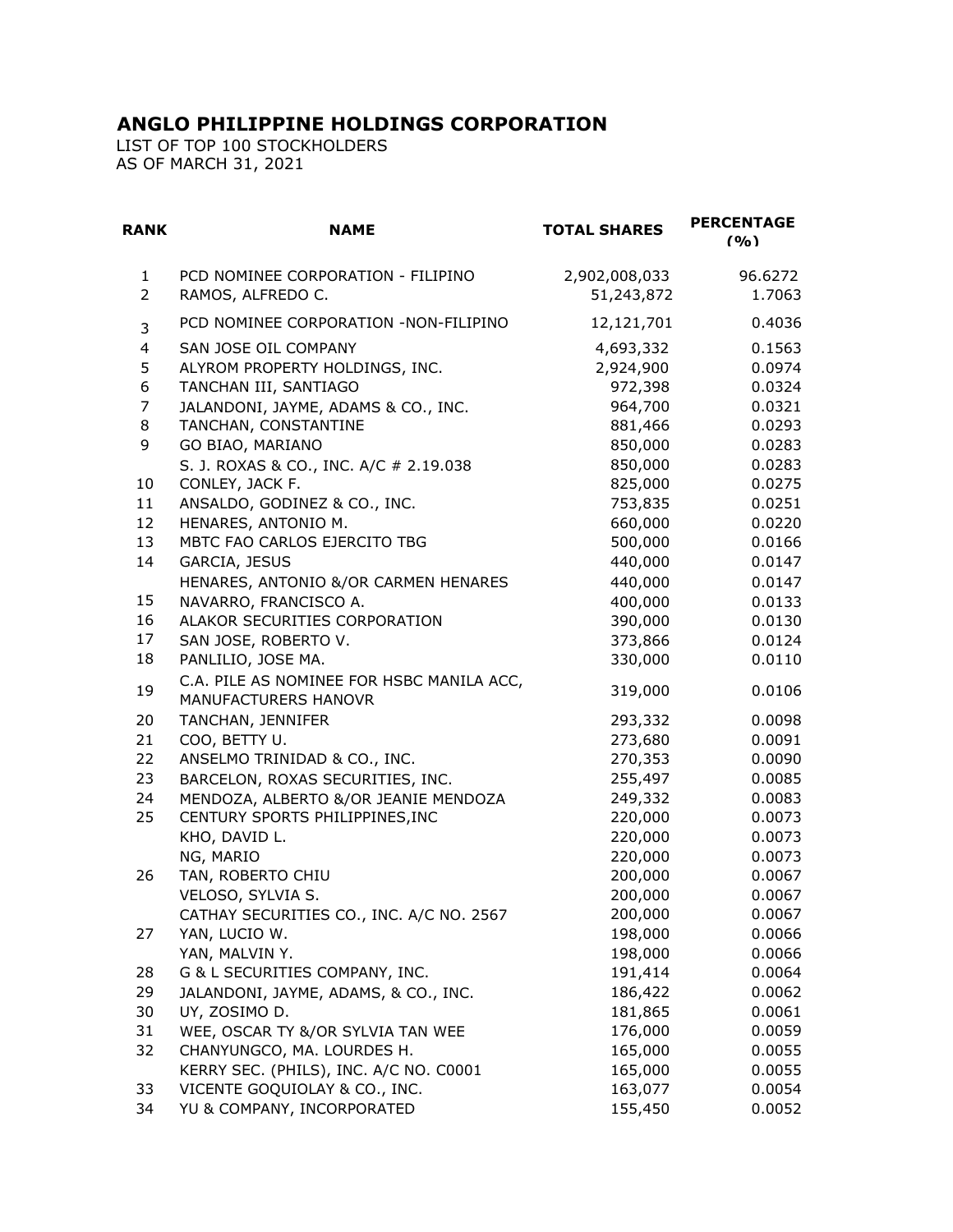| <b>RANK</b>                    | <b>NAME</b>                                                       | <b>TOTAL SHARES</b>         | <b>PERCENTAGE</b><br>(9/0) |
|--------------------------------|-------------------------------------------------------------------|-----------------------------|----------------------------|
| $\mathbf{1}$<br>$\overline{2}$ | PCD NOMINEE CORPORATION - FILIPINO<br>RAMOS, ALFREDO C.           | 2,902,008,033<br>51,243,872 | 96.6272<br>1.7063          |
| 3                              | PCD NOMINEE CORPORATION -NON-FILIPINO                             | 12,121,701                  | 0.4036                     |
| $\overline{\mathbf{4}}$<br>5   | SAN JOSE OIL COMPANY<br>ALYROM PROPERTY HOLDINGS, INC.            | 4,693,332<br>2,924,900      | 0.1563<br>0.0974           |
| 6                              | TANCHAN III, SANTIAGO                                             | 972,398                     | 0.0324                     |
| 7<br>8                         | JALANDONI, JAYME, ADAMS & CO., INC.<br>TANCHAN, CONSTANTINE       | 964,700<br>881,466          | 0.0321<br>0.0293           |
| 9                              | GO BIAO, MARIANO                                                  | 850,000                     | 0.0283                     |
|                                | S. J. ROXAS & CO., INC. A/C # 2.19.038                            | 850,000                     | 0.0283                     |
| 10                             | CONLEY, JACK F.                                                   | 825,000                     | 0.0275                     |
| 11                             | ANSALDO, GODINEZ & CO., INC.                                      | 753,835                     | 0.0251                     |
| 12                             | HENARES, ANTONIO M.                                               | 660,000                     | 0.0220                     |
| 13                             | MBTC FAO CARLOS EJERCITO TBG                                      | 500,000                     | 0.0166                     |
| 14                             | GARCIA, JESUS                                                     | 440,000                     | 0.0147                     |
|                                | HENARES, ANTONIO &/OR CARMEN HENARES                              | 440,000                     | 0.0147                     |
| 15                             | NAVARRO, FRANCISCO A.                                             | 400,000                     | 0.0133                     |
| 16                             | ALAKOR SECURITIES CORPORATION                                     | 390,000                     | 0.0130                     |
| 17                             | SAN JOSE, ROBERTO V.                                              | 373,866                     | 0.0124                     |
| 18                             | PANLILIO, JOSE MA.                                                | 330,000                     | 0.0110                     |
| 19                             | C.A. PILE AS NOMINEE FOR HSBC MANILA ACC,<br>MANUFACTURERS HANOVR | 319,000                     | 0.0106                     |
| 20                             | TANCHAN, JENNIFER                                                 | 293,332                     | 0.0098                     |
| 21                             | COO, BETTY U.                                                     | 273,680                     | 0.0091                     |
| 22                             | ANSELMO TRINIDAD & CO., INC.                                      | 270,353                     | 0.0090                     |
| 23                             | BARCELON, ROXAS SECURITIES, INC.                                  | 255,497                     | 0.0085                     |
| 24                             | MENDOZA, ALBERTO &/OR JEANIE MENDOZA                              | 249,332                     | 0.0083                     |
| 25                             | CENTURY SPORTS PHILIPPINES, INC                                   | 220,000                     | 0.0073                     |
|                                | KHO, DAVID L.                                                     | 220,000                     | 0.0073                     |
|                                | NG, MARIO                                                         | 220,000                     | 0.0073                     |
| 26                             | TAN, ROBERTO CHIU<br>VELOSO, SYLVIA S.                            | 200,000<br>200,000          | 0.0067<br>0.0067           |
|                                | CATHAY SECURITIES CO., INC. A/C NO. 2567                          | 200,000                     | 0.0067                     |
| 27                             | YAN, LUCIO W.                                                     | 198,000                     | 0.0066                     |
|                                | YAN, MALVIN Y.                                                    | 198,000                     | 0.0066                     |
| 28                             | G & L SECURITIES COMPANY, INC.                                    | 191,414                     | 0.0064                     |
| 29                             | JALANDONI, JAYME, ADAMS, & CO., INC.                              | 186,422                     | 0.0062                     |
| 30                             | UY, ZOSIMO D.                                                     | 181,865                     | 0.0061                     |
| 31                             | WEE, OSCAR TY &/OR SYLVIA TAN WEE                                 | 176,000                     | 0.0059                     |
| 32                             | CHANYUNGCO, MA. LOURDES H.                                        | 165,000                     | 0.0055                     |
|                                | KERRY SEC. (PHILS), INC. A/C NO. C0001                            | 165,000                     | 0.0055                     |
| 33                             | VICENTE GOQUIOLAY & CO., INC.                                     | 163,077                     | 0.0054                     |
| 34                             | YU & COMPANY, INCORPORATED                                        | 155,450                     | 0.0052                     |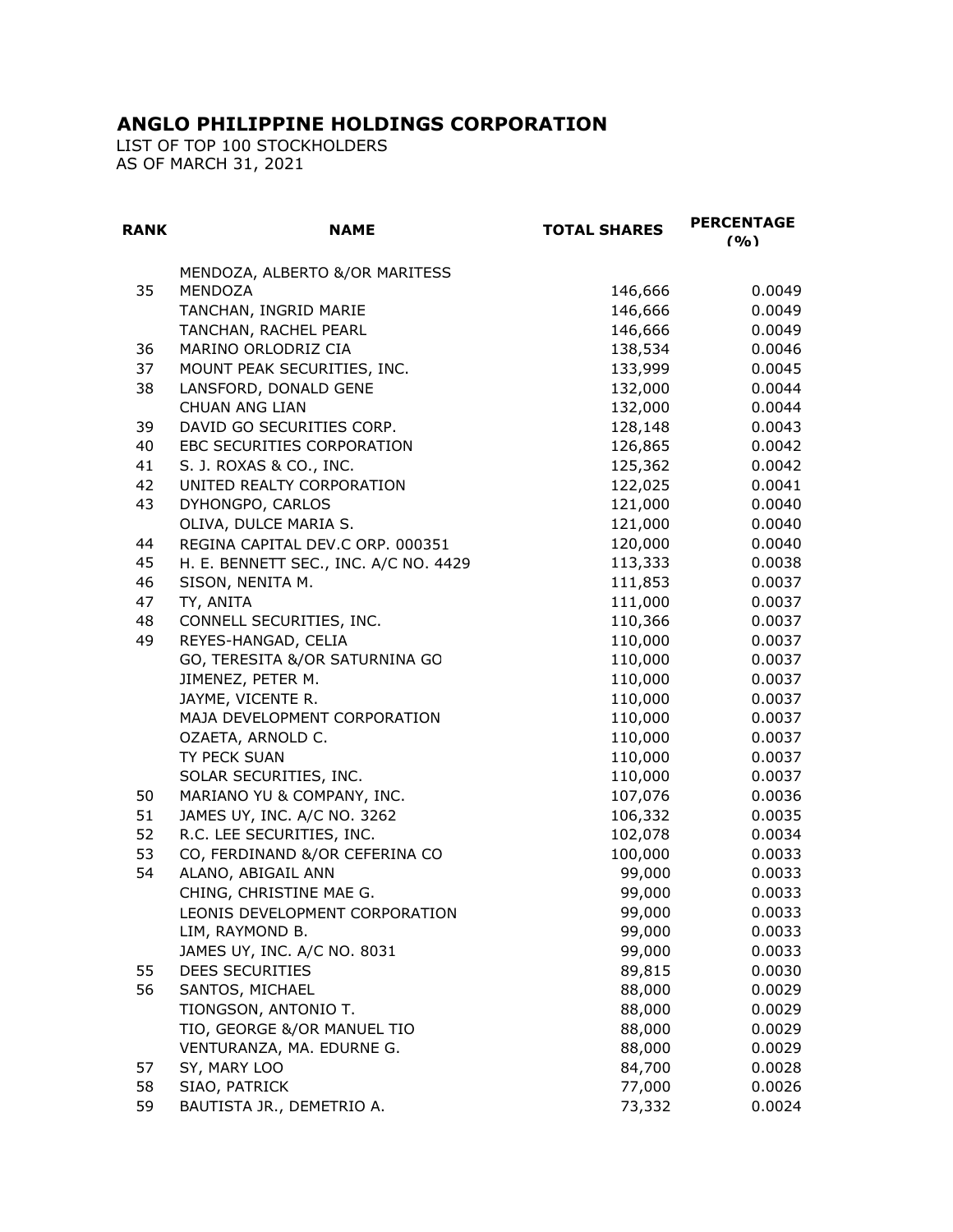| <b>RANK</b> | <b>NAME</b>                           | <b>TOTAL SHARES</b> | <b>PERCENTAGE</b><br>(9/0) |
|-------------|---------------------------------------|---------------------|----------------------------|
|             | MENDOZA, ALBERTO &/OR MARITESS        |                     |                            |
| 35          | MENDOZA                               | 146,666             | 0.0049                     |
|             | TANCHAN, INGRID MARIE                 | 146,666             | 0.0049                     |
|             | TANCHAN, RACHEL PEARL                 | 146,666             | 0.0049                     |
| 36          | MARINO ORLODRIZ CIA                   | 138,534             | 0.0046                     |
| 37          | MOUNT PEAK SECURITIES, INC.           | 133,999             | 0.0045                     |
| 38          | LANSFORD, DONALD GENE                 | 132,000             | 0.0044                     |
|             | <b>CHUAN ANG LIAN</b>                 | 132,000             | 0.0044                     |
| 39          | DAVID GO SECURITIES CORP.             | 128,148             | 0.0043                     |
| 40          | EBC SECURITIES CORPORATION            | 126,865             | 0.0042                     |
| 41          | S. J. ROXAS & CO., INC.               | 125,362             | 0.0042                     |
| 42          | UNITED REALTY CORPORATION             | 122,025             | 0.0041                     |
| 43          | DYHONGPO, CARLOS                      | 121,000             | 0.0040                     |
|             | OLIVA, DULCE MARIA S.                 | 121,000             | 0.0040                     |
| 44          | REGINA CAPITAL DEV.C ORP. 000351      | 120,000             | 0.0040                     |
| 45          | H. E. BENNETT SEC., INC. A/C NO. 4429 | 113,333             | 0.0038                     |
| 46          | SISON, NENITA M.                      | 111,853             | 0.0037                     |
| 47          | TY, ANITA                             | 111,000             | 0.0037                     |
| 48          | CONNELL SECURITIES, INC.              | 110,366             | 0.0037                     |
| 49          | REYES-HANGAD, CELIA                   | 110,000             | 0.0037                     |
|             | GO, TERESITA &/OR SATURNINA GO        | 110,000             | 0.0037                     |
|             | JIMENEZ, PETER M.                     | 110,000             | 0.0037                     |
|             | JAYME, VICENTE R.                     | 110,000             | 0.0037                     |
|             | MAJA DEVELOPMENT CORPORATION          | 110,000             | 0.0037                     |
|             | OZAETA, ARNOLD C.                     | 110,000             | 0.0037                     |
|             | TY PECK SUAN                          | 110,000             | 0.0037                     |
|             | SOLAR SECURITIES, INC.                | 110,000             | 0.0037                     |
| 50          | MARIANO YU & COMPANY, INC.            | 107,076             | 0.0036                     |
| 51          | JAMES UY, INC. A/C NO. 3262           | 106,332             | 0.0035                     |
| 52          | R.C. LEE SECURITIES, INC.             | 102,078             | 0.0034                     |
| 53          | CO, FERDINAND &/OR CEFERINA CO        | 100,000             | 0.0033                     |
| 54          | ALANO, ABIGAIL ANN                    | 99,000              | 0.0033                     |
|             | CHING, CHRISTINE MAE G.               | 99,000              | 0.0033                     |
|             | LEONIS DEVELOPMENT CORPORATION        | 99,000              | 0.0033                     |
|             | LIM, RAYMOND B.                       | 99,000              | 0.0033                     |
|             | JAMES UY, INC. A/C NO. 8031           | 99,000              | 0.0033                     |
| 55          | DEES SECURITIES                       | 89,815              | 0.0030                     |
| 56          | SANTOS, MICHAEL                       | 88,000              | 0.0029                     |
|             | TIONGSON, ANTONIO T.                  | 88,000              | 0.0029                     |
|             | TIO, GEORGE &/OR MANUEL TIO           | 88,000              | 0.0029                     |
|             | VENTURANZA, MA. EDURNE G.             | 88,000              | 0.0029                     |
| 57          | SY, MARY LOO                          | 84,700              | 0.0028                     |
| 58          | SIAO, PATRICK                         | 77,000              | 0.0026                     |
| 59          | BAUTISTA JR., DEMETRIO A.             | 73,332              | 0.0024                     |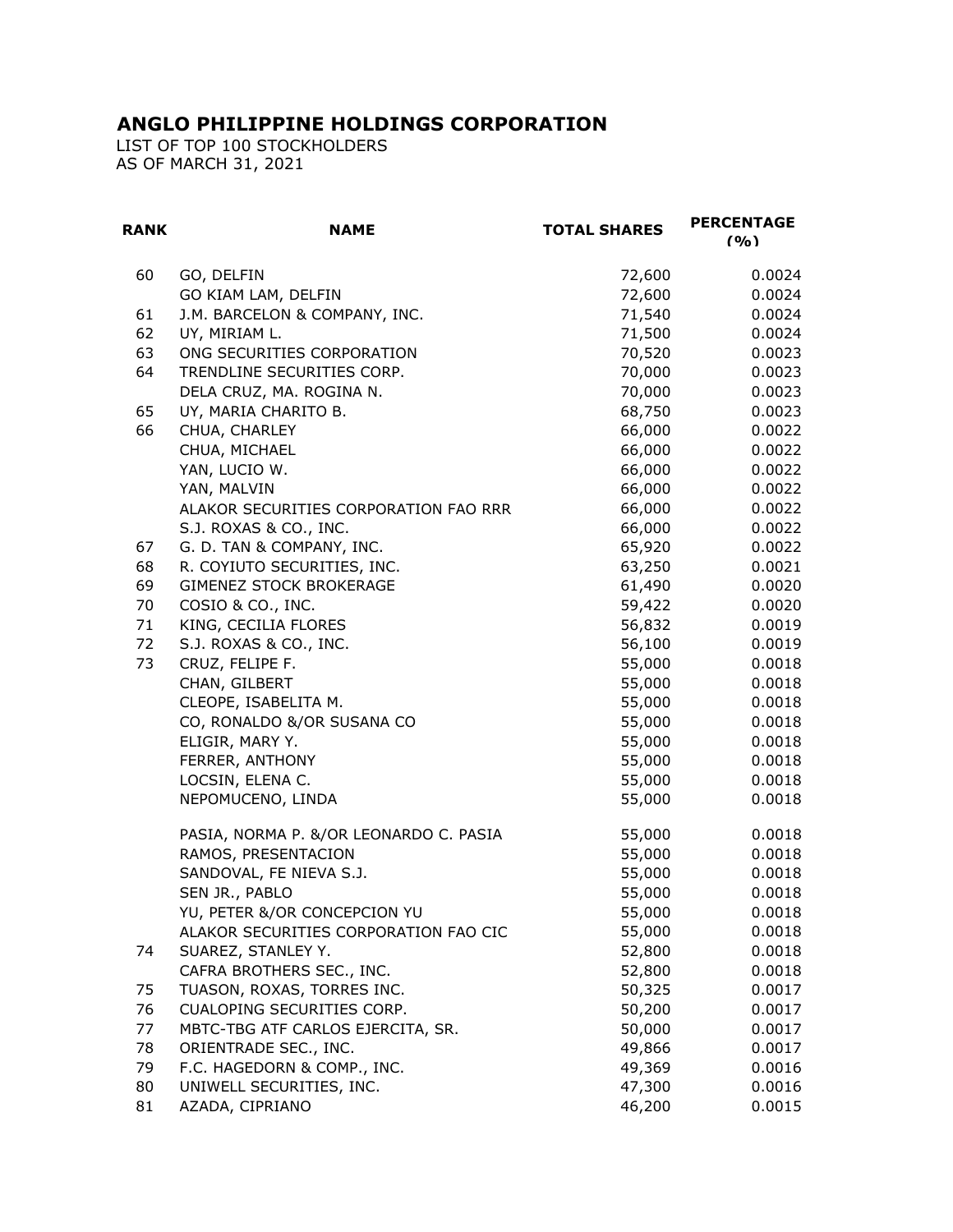| <b>RANK</b> | <b>NAME</b>                            | <b>TOTAL SHARES</b> | <b>PERCENTAGE</b><br>(9/0) |
|-------------|----------------------------------------|---------------------|----------------------------|
| 60          | GO, DELFIN                             | 72,600              | 0.0024                     |
|             | GO KIAM LAM, DELFIN                    | 72,600              | 0.0024                     |
| 61          | J.M. BARCELON & COMPANY, INC.          | 71,540              | 0.0024                     |
| 62          | UY, MIRIAM L.                          | 71,500              | 0.0024                     |
| 63          | ONG SECURITIES CORPORATION             | 70,520              | 0.0023                     |
| 64          | TRENDLINE SECURITIES CORP.             | 70,000              | 0.0023                     |
|             | DELA CRUZ, MA. ROGINA N.               | 70,000              | 0.0023                     |
| 65          | UY, MARIA CHARITO B.                   | 68,750              | 0.0023                     |
| 66          | CHUA, CHARLEY                          | 66,000              | 0.0022                     |
|             | CHUA, MICHAEL                          | 66,000              | 0.0022                     |
|             | YAN, LUCIO W.                          | 66,000              | 0.0022                     |
|             | YAN, MALVIN                            | 66,000              | 0.0022                     |
|             | ALAKOR SECURITIES CORPORATION FAO RRR  | 66,000              | 0.0022                     |
|             | S.J. ROXAS & CO., INC.                 | 66,000              | 0.0022                     |
| 67          | G. D. TAN & COMPANY, INC.              | 65,920              | 0.0022                     |
| 68          | R. COYIUTO SECURITIES, INC.            | 63,250              | 0.0021                     |
| 69          | <b>GIMENEZ STOCK BROKERAGE</b>         | 61,490              | 0.0020                     |
| 70          | COSIO & CO., INC.                      | 59,422              | 0.0020                     |
| 71          | KING, CECILIA FLORES                   | 56,832              | 0.0019                     |
| 72          | S.J. ROXAS & CO., INC.                 | 56,100              | 0.0019                     |
| 73          | CRUZ, FELIPE F.                        | 55,000              | 0.0018                     |
|             | CHAN, GILBERT                          | 55,000              | 0.0018                     |
|             | CLEOPE, ISABELITA M.                   | 55,000              | 0.0018                     |
|             | CO, RONALDO &/OR SUSANA CO             | 55,000              | 0.0018                     |
|             | ELIGIR, MARY Y.                        | 55,000              | 0.0018                     |
|             | FERRER, ANTHONY                        | 55,000              | 0.0018                     |
|             | LOCSIN, ELENA C.                       | 55,000              | 0.0018                     |
|             | NEPOMUCENO, LINDA                      | 55,000              | 0.0018                     |
|             | PASIA, NORMA P. &/OR LEONARDO C. PASIA | 55,000              | 0.0018                     |
|             | RAMOS, PRESENTACION                    | 55,000              | 0.0018                     |
|             | SANDOVAL, FE NIEVA S.J.                | 55,000              | 0.0018                     |
|             | SEN JR., PABLO                         | 55,000              | 0.0018                     |
|             | YU, PETER &/OR CONCEPCION YU           | 55,000              | 0.0018                     |
|             | ALAKOR SECURITIES CORPORATION FAO CIC  | 55,000              | 0.0018                     |
| 74          | SUAREZ, STANLEY Y.                     | 52,800              | 0.0018                     |
|             | CAFRA BROTHERS SEC., INC.              | 52,800              | 0.0018                     |
| 75          | TUASON, ROXAS, TORRES INC.             | 50,325              | 0.0017                     |
| 76          | CUALOPING SECURITIES CORP.             | 50,200              | 0.0017                     |
| 77          | MBTC-TBG ATF CARLOS EJERCITA, SR.      | 50,000              | 0.0017                     |
| 78          | ORIENTRADE SEC., INC.                  | 49,866              | 0.0017                     |
| 79          | F.C. HAGEDORN & COMP., INC.            | 49,369              | 0.0016                     |
| 80          | UNIWELL SECURITIES, INC.               | 47,300              | 0.0016                     |
| 81          | AZADA, CIPRIANO                        | 46,200              | 0.0015                     |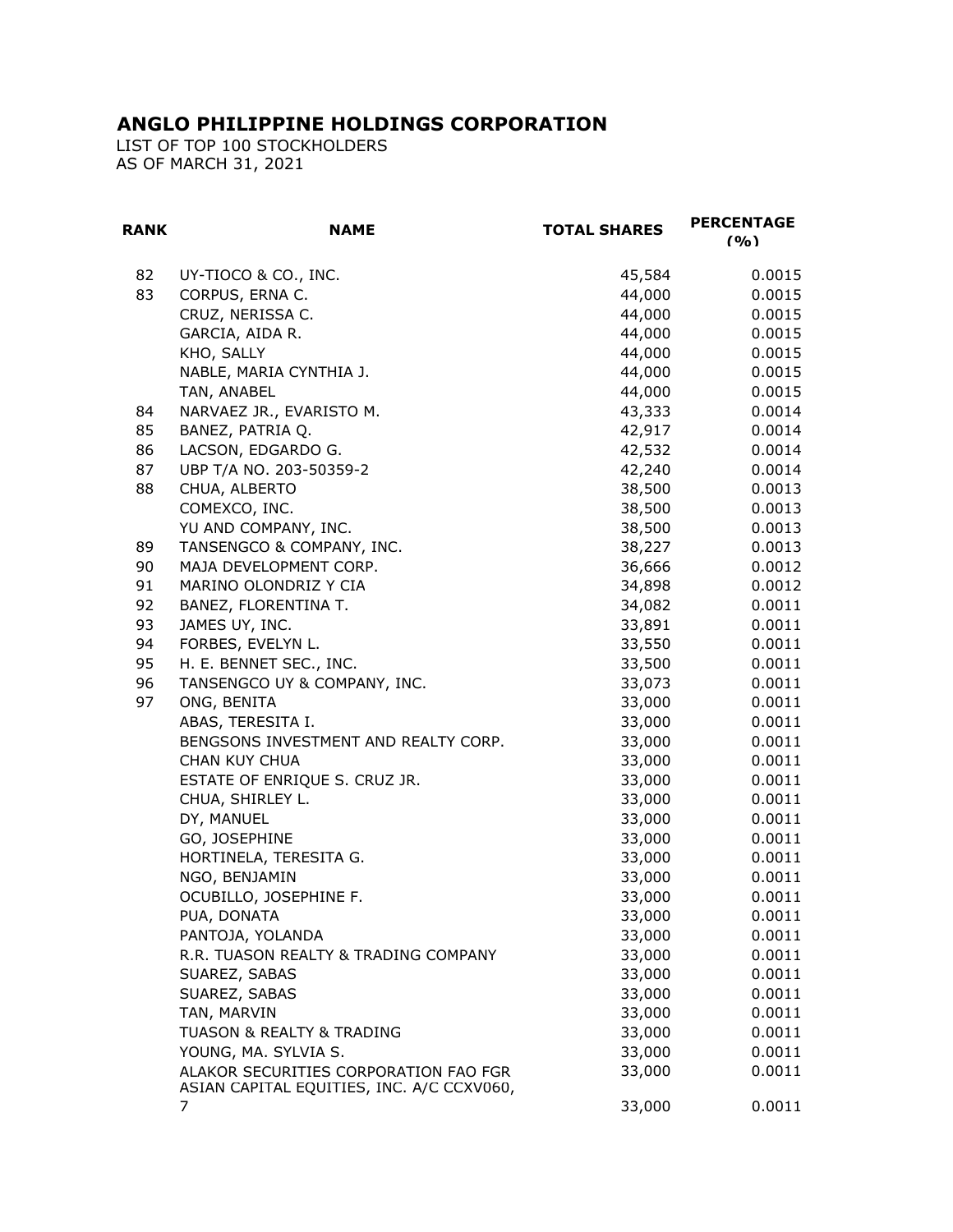| <b>RANK</b> | <b>NAME</b>                                                                        | <b>TOTAL SHARES</b> | <b>PERCENTAGE</b><br>(9/0) |
|-------------|------------------------------------------------------------------------------------|---------------------|----------------------------|
| 82          | UY-TIOCO & CO., INC.                                                               | 45,584              | 0.0015                     |
| 83          | CORPUS, ERNA C.                                                                    | 44,000              | 0.0015                     |
|             | CRUZ, NERISSA C.                                                                   | 44,000              | 0.0015                     |
|             | GARCIA, AIDA R.                                                                    | 44,000              | 0.0015                     |
|             | KHO, SALLY                                                                         | 44,000              | 0.0015                     |
|             | NABLE, MARIA CYNTHIA J.                                                            | 44,000              | 0.0015                     |
|             | TAN, ANABEL                                                                        | 44,000              | 0.0015                     |
| 84          | NARVAEZ JR., EVARISTO M.                                                           | 43,333              | 0.0014                     |
| 85          | BANEZ, PATRIA Q.                                                                   | 42,917              | 0.0014                     |
| 86          | LACSON, EDGARDO G.                                                                 | 42,532              | 0.0014                     |
| 87          | UBP T/A NO. 203-50359-2                                                            | 42,240              | 0.0014                     |
| 88          | CHUA, ALBERTO                                                                      | 38,500              | 0.0013                     |
|             | COMEXCO, INC.                                                                      | 38,500              | 0.0013                     |
|             | YU AND COMPANY, INC.                                                               | 38,500              | 0.0013                     |
| 89          | TANSENGCO & COMPANY, INC.                                                          | 38,227              | 0.0013                     |
| 90          | MAJA DEVELOPMENT CORP.                                                             | 36,666              | 0.0012                     |
| 91          | MARINO OLONDRIZ Y CIA                                                              | 34,898              | 0.0012                     |
| 92          | BANEZ, FLORENTINA T.                                                               | 34,082              | 0.0011                     |
| 93          | JAMES UY, INC.                                                                     | 33,891              | 0.0011                     |
| 94          | FORBES, EVELYN L.                                                                  | 33,550              | 0.0011                     |
| 95          | H. E. BENNET SEC., INC.                                                            | 33,500              | 0.0011                     |
| 96          | TANSENGCO UY & COMPANY, INC.                                                       | 33,073              | 0.0011                     |
| 97          | ONG, BENITA                                                                        | 33,000              | 0.0011                     |
|             | ABAS, TERESITA I.                                                                  | 33,000              | 0.0011                     |
|             | BENGSONS INVESTMENT AND REALTY CORP.                                               | 33,000              | 0.0011                     |
|             | <b>CHAN KUY CHUA</b>                                                               | 33,000              | 0.0011                     |
|             | ESTATE OF ENRIQUE S. CRUZ JR.                                                      | 33,000              | 0.0011<br>0.0011           |
|             | CHUA, SHIRLEY L.<br>DY, MANUEL                                                     | 33,000<br>33,000    | 0.0011                     |
|             | GO, JOSEPHINE                                                                      | 33,000              | 0.0011                     |
|             | HORTINELA, TERESITA G.                                                             | 33,000              | 0.0011                     |
|             | NGO, BENJAMIN                                                                      | 33,000              | 0.0011                     |
|             | OCUBILLO, JOSEPHINE F.                                                             | 33,000              | 0.0011                     |
|             | PUA, DONATA                                                                        | 33,000              | 0.0011                     |
|             | PANTOJA, YOLANDA                                                                   | 33,000              | 0.0011                     |
|             | R.R. TUASON REALTY & TRADING COMPANY                                               | 33,000              | 0.0011                     |
|             | SUAREZ, SABAS                                                                      | 33,000              | 0.0011                     |
|             | SUAREZ, SABAS                                                                      | 33,000              | 0.0011                     |
|             | TAN, MARVIN                                                                        | 33,000              | 0.0011                     |
|             | TUASON & REALTY & TRADING                                                          | 33,000              | 0.0011                     |
|             | YOUNG, MA. SYLVIA S.                                                               | 33,000              | 0.0011                     |
|             | ALAKOR SECURITIES CORPORATION FAO FGR<br>ASIAN CAPITAL EQUITIES, INC. A/C CCXV060, | 33,000              | 0.0011                     |
|             | 7                                                                                  | 33,000              | 0.0011                     |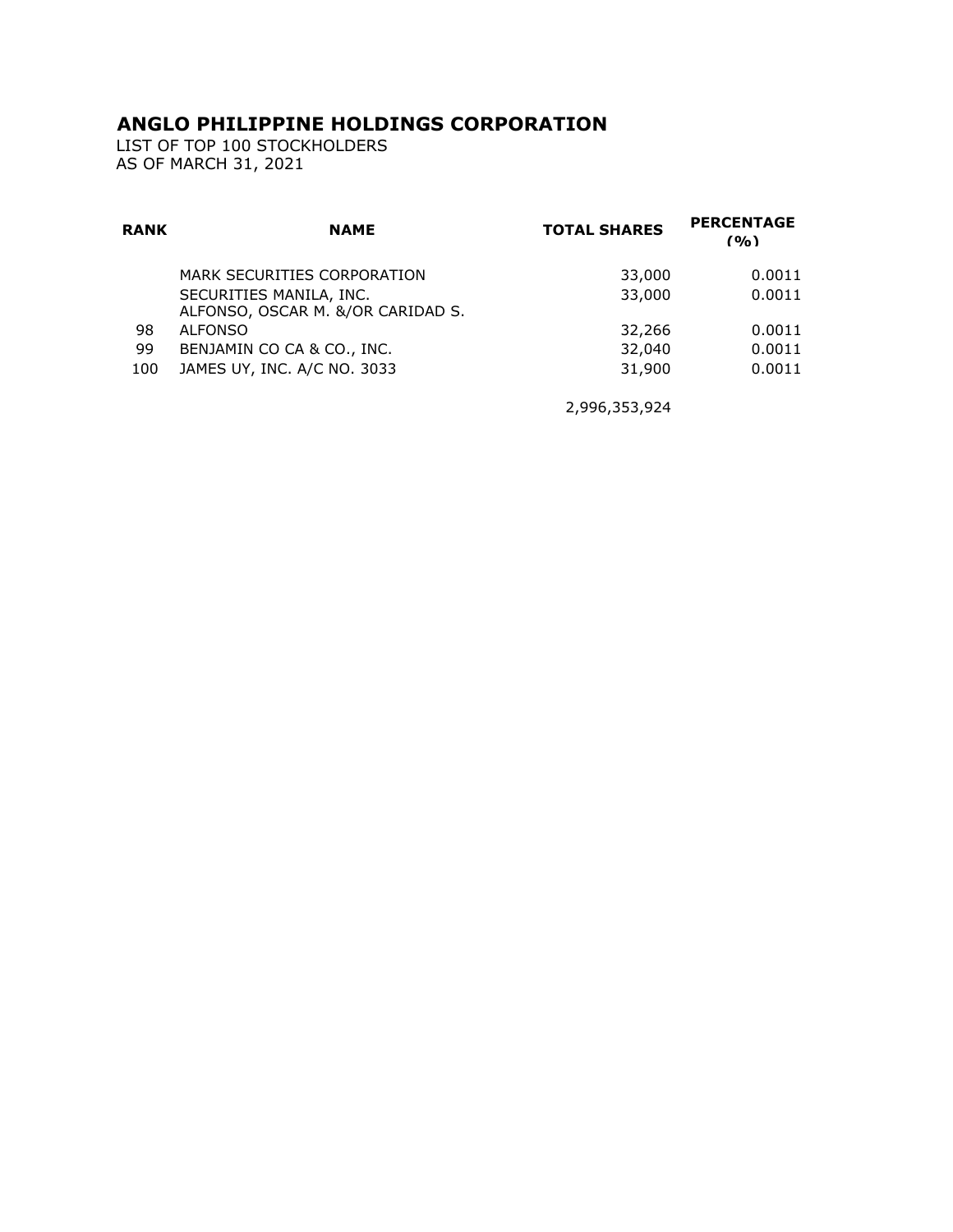LIST OF TOP 100 STOCKHOLDERS AS OF MARCH 31, 2021

| <b>RANK</b> | <b>NAME</b>                                                  | <b>TOTAL SHARES</b> | <b>PERCENTAGE</b><br>(9/0) |
|-------------|--------------------------------------------------------------|---------------------|----------------------------|
|             | MARK SECURITIES CORPORATION                                  | 33,000              | 0.0011                     |
|             | SECURITIES MANILA, INC.<br>ALFONSO, OSCAR M. &/OR CARIDAD S. | 33,000              | 0.0011                     |
| 98          | <b>ALFONSO</b>                                               | 32,266              | 0.0011                     |
| 99          | BENJAMIN CO CA & CO., INC.                                   | 32,040              | 0.0011                     |
| 100         | JAMES UY, INC. A/C NO. 3033                                  | 31,900              | 0.0011                     |
|             |                                                              | - --- --- -- -      |                            |

2,996,353,924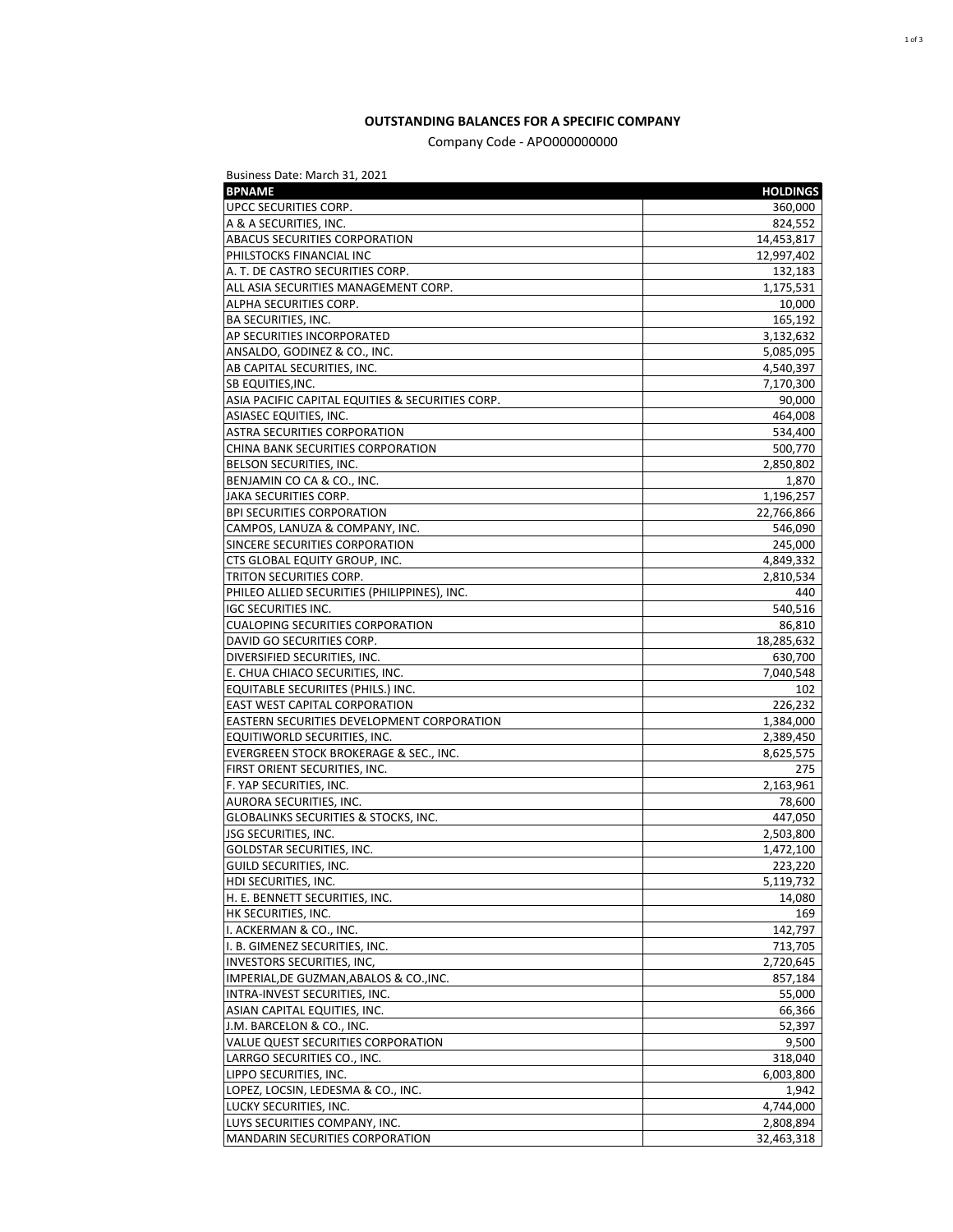#### **OUTSTANDING BALANCES FOR A SPECIFIC COMPANY**

Company Code - APO000000000

| Business Date: March 31, 2021                    |                 |
|--------------------------------------------------|-----------------|
| <b>BPNAME</b>                                    | <b>HOLDINGS</b> |
| UPCC SECURITIES CORP.                            | 360,000         |
| A & A SECURITIES, INC.                           | 824,552         |
| ABACUS SECURITIES CORPORATION                    | 14,453,817      |
| PHILSTOCKS FINANCIAL INC                         | 12,997,402      |
| A. T. DE CASTRO SECURITIES CORP.                 | 132,183         |
| ALL ASIA SECURITIES MANAGEMENT CORP.             | 1,175,531       |
| ALPHA SECURITIES CORP.                           | 10,000          |
| <b>BA SECURITIES, INC.</b>                       | 165,192         |
| AP SECURITIES INCORPORATED                       | 3,132,632       |
|                                                  |                 |
| ANSALDO, GODINEZ & CO., INC.                     | 5,085,095       |
| AB CAPITAL SECURITIES, INC.                      | 4,540,397       |
| SB EQUITIES, INC.                                | 7,170,300       |
| ASIA PACIFIC CAPITAL EQUITIES & SECURITIES CORP. | 90,000          |
| ASIASEC EQUITIES, INC.                           | 464,008         |
| ASTRA SECURITIES CORPORATION                     | 534,400         |
| CHINA BANK SECURITIES CORPORATION                | 500,770         |
| BELSON SECURITIES, INC.                          | 2,850,802       |
| BENJAMIN CO CA & CO., INC.                       | 1,870           |
| JAKA SECURITIES CORP.                            | 1,196,257       |
| <b>BPI SECURITIES CORPORATION</b>                | 22,766,866      |
| CAMPOS, LANUZA & COMPANY, INC.                   | 546,090         |
| SINCERE SECURITIES CORPORATION                   | 245,000         |
| CTS GLOBAL EQUITY GROUP, INC.                    | 4,849,332       |
| TRITON SECURITIES CORP.                          | 2,810,534       |
| PHILEO ALLIED SECURITIES (PHILIPPINES), INC.     | 440             |
| <b>IGC SECURITIES INC.</b>                       | 540,516         |
| <b>CUALOPING SECURITIES CORPORATION</b>          | 86,810          |
| DAVID GO SECURITIES CORP.                        | 18,285,632      |
| DIVERSIFIED SECURITIES, INC.                     | 630,700         |
| E. CHUA CHIACO SECURITIES, INC.                  | 7,040,548       |
| EQUITABLE SECURIITES (PHILS.) INC.               | 102             |
| EAST WEST CAPITAL CORPORATION                    | 226,232         |
| EASTERN SECURITIES DEVELOPMENT CORPORATION       | 1,384,000       |
| EQUITIWORLD SECURITIES, INC.                     | 2,389,450       |
| EVERGREEN STOCK BROKERAGE & SEC., INC.           | 8,625,575       |
| FIRST ORIENT SECURITIES, INC.                    | 275             |
| F. YAP SECURITIES, INC.                          | 2,163,961       |
| AURORA SECURITIES, INC.                          |                 |
|                                                  | 78,600          |
| <b>GLOBALINKS SECURITIES &amp; STOCKS, INC.</b>  | 447,050         |
| JSG SECURITIES, INC.                             | 2,503,800       |
| <b>GOLDSTAR SECURITIES, INC.</b>                 | 1,472,100       |
| GUILD SECURITIES, INC.                           | 223,220         |
| HDI SECURITIES, INC.                             | 5,119,732       |
| H. E. BENNETT SECURITIES, INC.                   | 14,080          |
| HK SECURITIES, INC.                              | 169             |
| I. ACKERMAN & CO., INC.                          | 142,797         |
| I. B. GIMENEZ SECURITIES, INC.                   | 713,705         |
| <b>INVESTORS SECURITIES, INC.</b>                | 2,720,645       |
| IMPERIAL, DE GUZMAN, ABALOS & CO., INC.          | 857,184         |
| INTRA-INVEST SECURITIES, INC.                    | 55,000          |
| ASIAN CAPITAL EQUITIES, INC.                     | 66,366          |
| J.M. BARCELON & CO., INC.                        | 52,397          |
| VALUE QUEST SECURITIES CORPORATION               | 9,500           |
| LARRGO SECURITIES CO., INC.                      | 318,040         |
| LIPPO SECURITIES, INC.                           | 6,003,800       |
| LOPEZ, LOCSIN, LEDESMA & CO., INC.               | 1,942           |
| LUCKY SECURITIES, INC.                           | 4,744,000       |
| LUYS SECURITIES COMPANY, INC.                    | 2,808,894       |
| MANDARIN SECURITIES CORPORATION                  | 32,463,318      |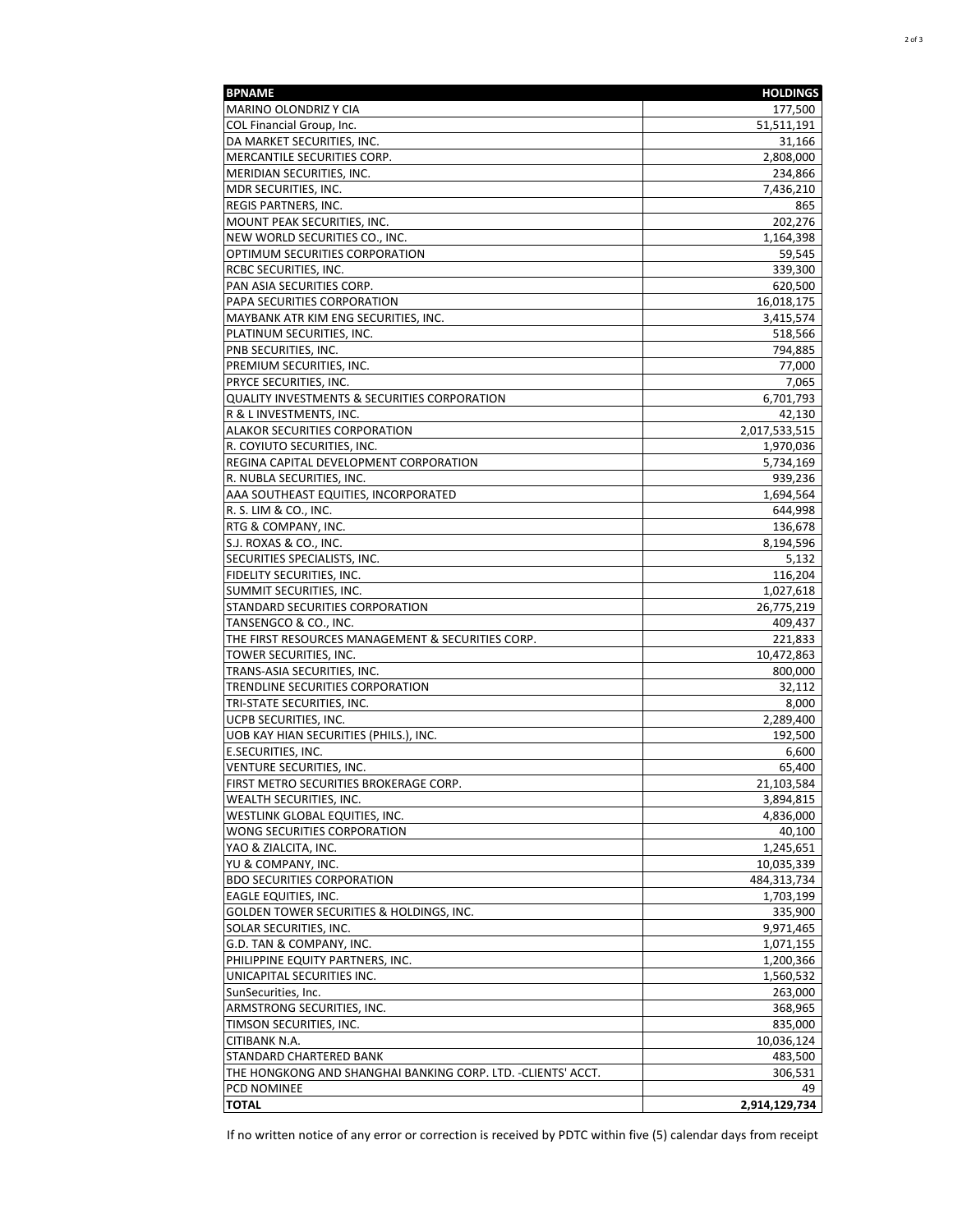| <b>BPNAME</b>                                                | <b>HOLDINGS</b> |
|--------------------------------------------------------------|-----------------|
| MARINO OLONDRIZ Y CIA                                        | 177,500         |
| COL Financial Group, Inc.                                    | 51,511,191      |
| DA MARKET SECURITIES, INC.                                   | 31,166          |
| MERCANTILE SECURITIES CORP.                                  | 2,808,000       |
| MERIDIAN SECURITIES, INC.                                    | 234,866         |
| MDR SECURITIES, INC.                                         | 7,436,210       |
| <b>REGIS PARTNERS, INC.</b>                                  | 865             |
| MOUNT PEAK SECURITIES, INC.                                  | 202,276         |
| NEW WORLD SECURITIES CO., INC.                               | 1,164,398       |
| OPTIMUM SECURITIES CORPORATION                               | 59,545          |
| RCBC SECURITIES, INC.                                        | 339,300         |
| PAN ASIA SECURITIES CORP.                                    | 620,500         |
| PAPA SECURITIES CORPORATION                                  | 16,018,175      |
| MAYBANK ATR KIM ENG SECURITIES, INC.                         | 3,415,574       |
| PLATINUM SECURITIES, INC.                                    | 518,566         |
| PNB SECURITIES, INC.                                         | 794,885         |
| PREMIUM SECURITIES, INC.                                     | 77,000          |
| PRYCE SECURITIES, INC.                                       | 7,065           |
| QUALITY INVESTMENTS & SECURITIES CORPORATION                 | 6,701,793       |
| R & L INVESTMENTS, INC.                                      | 42,130          |
| <b>ALAKOR SECURITIES CORPORATION</b>                         | 2,017,533,515   |
| R. COYIUTO SECURITIES, INC.                                  | 1,970,036       |
| <b>REGINA CAPITAL DEVELOPMENT CORPORATION</b>                | 5,734,169       |
| R. NUBLA SECURITIES, INC.                                    | 939,236         |
| AAA SOUTHEAST EQUITIES, INCORPORATED                         | 1,694,564       |
| R. S. LIM & CO., INC.                                        | 644,998         |
| RTG & COMPANY, INC.                                          | 136,678         |
| S.J. ROXAS & CO., INC.                                       | 8,194,596       |
| SECURITIES SPECIALISTS, INC.                                 | 5,132           |
| FIDELITY SECURITIES, INC.                                    | 116,204         |
| SUMMIT SECURITIES, INC.                                      | 1,027,618       |
| STANDARD SECURITIES CORPORATION                              | 26,775,219      |
| TANSENGCO & CO., INC.                                        | 409,437         |
| THE FIRST RESOURCES MANAGEMENT & SECURITIES CORP.            | 221,833         |
| TOWER SECURITIES, INC.                                       | 10,472,863      |
| TRANS-ASIA SECURITIES, INC.                                  | 800,000         |
| TRENDLINE SECURITIES CORPORATION                             | 32,112          |
| TRI-STATE SECURITIES, INC.                                   | 8,000           |
| UCPB SECURITIES, INC.                                        | 2,289,400       |
| UOB KAY HIAN SECURITIES (PHILS.), INC.                       | 192,500         |
| <b>E.SECURITIES, INC.</b>                                    | 6,600           |
| <b>VENTURE SECURITIES, INC.</b>                              | 65,400          |
| FIRST METRO SECURITIES BROKERAGE CORP.                       | 21,103,584      |
| <b>WEALTH SECURITIES, INC.</b>                               | 3,894,815       |
| WESTLINK GLOBAL EQUITIES, INC.                               | 4,836,000       |
| WONG SECURITIES CORPORATION                                  | 40,100          |
| YAO & ZIALCITA, INC.                                         | 1,245,651       |
| YU & COMPANY, INC.                                           | 10,035,339      |
| <b>BDO SECURITIES CORPORATION</b>                            | 484,313,734     |
| <b>EAGLE EQUITIES, INC.</b>                                  | 1,703,199       |
| GOLDEN TOWER SECURITIES & HOLDINGS, INC.                     | 335,900         |
| SOLAR SECURITIES, INC.                                       | 9,971,465       |
| G.D. TAN & COMPANY, INC.                                     | 1,071,155       |
| PHILIPPINE EQUITY PARTNERS, INC.                             | 1,200,366       |
| UNICAPITAL SECURITIES INC.                                   | 1,560,532       |
| SunSecurities, Inc.                                          | 263,000         |
| ARMSTRONG SECURITIES, INC.                                   | 368,965         |
| TIMSON SECURITIES, INC.                                      | 835,000         |
| CITIBANK N.A.                                                | 10,036,124      |
| STANDARD CHARTERED BANK                                      | 483,500         |
| THE HONGKONG AND SHANGHAI BANKING CORP. LTD. -CLIENTS' ACCT. | 306,531         |
| <b>PCD NOMINEE</b>                                           | 49              |
| <b>TOTAL</b>                                                 | 2,914,129,734   |

If no written notice of any error or correction is received by PDTC within five (5) calendar days from receipt